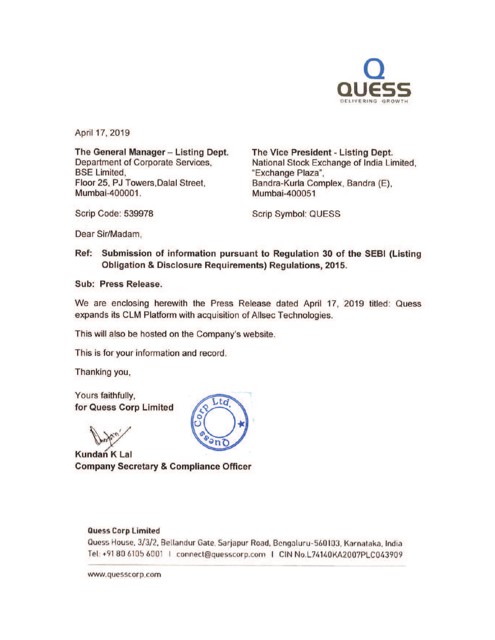

April 17, 2019

The General Manager - Listing Dept. Department of Corporate Services, BSE Limited, Floor 25, PJ Towers.Dalal Street, Mumbai-400001.

The Vice President - Listing Dept. National Stock Exchange of India Limited, "Exchange Plaza", Bandra-Kurla Complex, Sandra (E), Mumbai-400051

Scrip Code: 539978

Scrip Symbol: QUESS

Dear Sir/Madam,

Ref: Submission of information pursuant to Regulation 30 of the SEBI (Listing Obligation & Disclosure Requirements) Regulations, 2015.

Sub: Press Release.

We are enclosing herewith the Press Release dated April 17, 2019 titled: Quess expands its CLM Platform with acquisition of Allsec Technologies.

This will also be hosted on the Company's website.

This is for your information and record.

Thanking you,

Yours faithfully, for Quess Corp Limited

**CARD** 

Kundan K Lal Company Secretary & Compliance Officer



### Quess Corp limited

Quess House, 3/3/2, Bellandur Gate, Sarjapur Road, Bengaluru-560103, Karnataka, India Tel: +91 80 6105 6001 | connect@quesscorp.com | CIN No.L74140KA2007PLC043909

www.quesscorp.com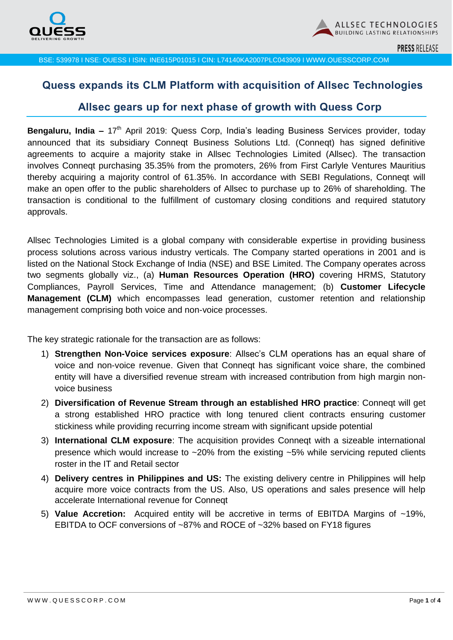

**PRESS RELEASE** 

BSE: 539978 I NSE: QUESS I ISIN: INE615P01015 I CIN: L74140KA2007PLC043909 I WWW.QUESSCORP.COM

# **Quess expands its CLM Platform with acquisition of Allsec Technologies**

### **Allsec gears up for next phase of growth with Quess Corp**

**Bengaluru, India –** 17<sup>th</sup> April 2019: Quess Corp, India's leading Business Services provider, today announced that its subsidiary Conneqt Business Solutions Ltd. (Conneqt) has signed definitive agreements to acquire a majority stake in Allsec Technologies Limited (Allsec). The transaction involves Conneqt purchasing 35.35% from the promoters, 26% from First Carlyle Ventures Mauritius thereby acquiring a majority control of 61.35%. In accordance with SEBI Regulations, Conneqt will make an open offer to the public shareholders of Allsec to purchase up to 26% of shareholding. The transaction is conditional to the fulfillment of customary closing conditions and required statutory approvals.

Allsec Technologies Limited is a global company with considerable expertise in providing business process solutions across various industry verticals. The Company started operations in 2001 and is listed on the National Stock Exchange of India (NSE) and BSE Limited. The Company operates across two segments globally viz., (a) **Human Resources Operation (HRO)** covering HRMS, Statutory Compliances, Payroll Services, Time and Attendance management; (b) **Customer Lifecycle Management (CLM)** which encompasses lead generation, customer retention and relationship management comprising both voice and non-voice processes.

The key strategic rationale for the transaction are as follows:

- 1) **Strengthen Non-Voice services exposure**: Allsec's CLM operations has an equal share of voice and non-voice revenue. Given that Conneqt has significant voice share, the combined entity will have a diversified revenue stream with increased contribution from high margin nonvoice business
- 2) **Diversification of Revenue Stream through an established HRO practice**: Conneqt will get a strong established HRO practice with long tenured client contracts ensuring customer stickiness while providing recurring income stream with significant upside potential
- 3) **International CLM exposure**: The acquisition provides Conneqt with a sizeable international presence which would increase to ~20% from the existing ~5% while servicing reputed clients roster in the IT and Retail sector
- 4) **Delivery centres in Philippines and US:** The existing delivery centre in Philippines will help acquire more voice contracts from the US. Also, US operations and sales presence will help accelerate International revenue for Conneqt
- 5) **Value Accretion:** Acquired entity will be accretive in terms of EBITDA Margins of ~19%, EBITDA to OCF conversions of ~87% and ROCE of ~32% based on FY18 figures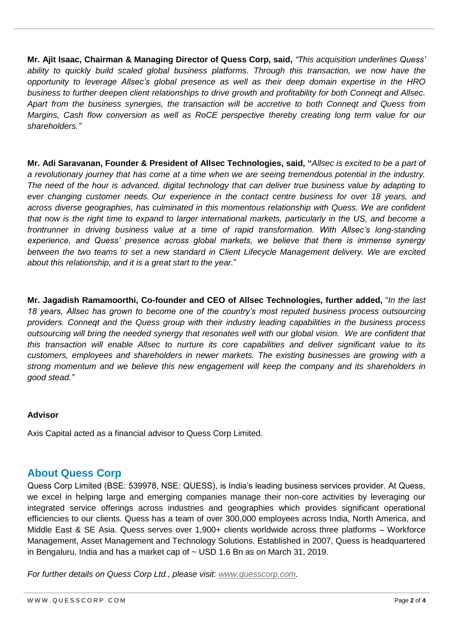**Mr. Ajit Isaac, Chairman & Managing Director of Quess Corp, said,** *"This acquisition underlines Quess' ability to quickly build scaled global business platforms. Through this transaction, we now have the opportunity to leverage Allsec's global presence as well as their deep domain expertise in the HRO business to further deepen client relationships to drive growth and profitability for both Conneqt and Allsec. Apart from the business synergies, the transaction will be accretive to both Conneqt and Quess from Margins, Cash flow conversion as well as RoCE perspective thereby creating long term value for our shareholders."*

**Mr. Adi Saravanan, Founder & President of Allsec Technologies, said, "***Allsec is excited to be a part of a revolutionary journey that has come at a time when we are seeing tremendous potential in the industry. The need of the hour is advanced, digital technology that can deliver true business value by adapting to ever changing customer needs. Our experience in the contact centre business for over 18 years, and across diverse geographies, has culminated in this momentous relationship with Quess. We are confident that now is the right time to expand to larger international markets, particularly in the US, and become a frontrunner in driving business value at a time of rapid transformation. With Allsec's long-standing experience, and Quess' presence across global markets, we believe that there is immense synergy between the two teams to set a new standard in Client Lifecycle Management delivery. We are excited about this relationship, and it is a great start to the year.*"

**Mr. Jagadish Ramamoorthi, Co-founder and CEO of Allsec Technologies, further added,** "*In the last 18 years, Allsec has grown to become one of the country's most reputed business process outsourcing providers. Conneqt and the Quess group with their industry leading capabilities in the business process outsourcing will bring the needed synergy that resonates well with our global vision. We are confident that this transaction will enable Allsec to nurture its core capabilities and deliver significant value to its customers, employees and shareholders in newer markets. The existing businesses are growing with a strong momentum and we believe this new engagement will keep the company and its shareholders in good stead."* 

### **Advisor**

Axis Capital acted as a financial advisor to Quess Corp Limited.

## **About Quess Corp**

Quess Corp Limited (BSE: 539978, NSE: QUESS), is India's leading business services provider. At Quess, we excel in helping large and emerging companies manage their non-core activities by leveraging our integrated service offerings across industries and geographies which provides significant operational efficiencies to our clients. Quess has a team of over 300,000 employees across India, North America, and Middle East & SE Asia. Quess serves over 1,900+ clients worldwide across three platforms – Workforce Management, Asset Management and Technology Solutions. Established in 2007, Quess is headquartered in Bengaluru, India and has a market cap of  $\sim$  USD 1.6 Bn as on March 31, 2019.

*For further details on Quess Corp Ltd., please visit: [www.quesscorp.com.](http://www.quesscorp.com/)*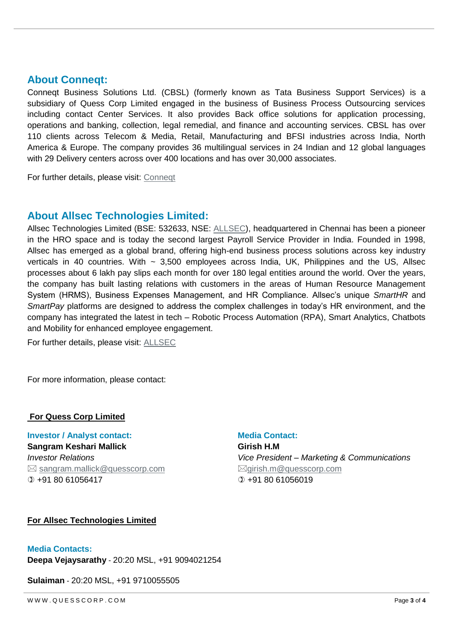## **About Conneqt:**

Conneqt Business Solutions Ltd. (CBSL) (formerly known as Tata Business Support Services) is a subsidiary of Quess Corp Limited engaged in the business of Business Process Outsourcing services including contact Center Services. It also provides Back office solutions for application processing, operations and banking, collection, legal remedial, and finance and accounting services. CBSL has over 110 clients across Telecom & Media, Retail, Manufacturing and BFSI industries across India, North America & Europe. The company provides 36 multilingual services in 24 Indian and 12 global languages with 29 Delivery centers across over 400 locations and has over 30,000 associates.

For further details, please visit: [Conneqt](http://www.conneqtcorp.com./)

## **About Allsec Technologies Limited:**

Allsec Technologies Limited (BSE: 532633, NSE: [ALLSEC\)](https://www.allsectech.com/), headquartered in Chennai has been a pioneer in the HRO space and is today the second largest Payroll Service Provider in India. Founded in 1998, Allsec has emerged as a global brand, offering high-end business process solutions across key industry verticals in 40 countries. With  $\sim 3,500$  employees across India, UK, Philippines and the US, Allsec processes about 6 lakh pay slips each month for over 180 legal entities around the world. Over the years, the company has built lasting relations with customers in the areas of Human Resource Management System (HRMS), Business Expenses Management, and HR Compliance. Allsec's unique *SmartHR* and *SmartPay* platforms are designed to address the complex challenges in today's HR environment, and the company has integrated the latest in tech – Robotic Process Automation (RPA), Smart Analytics, Chatbots and Mobility for enhanced employee engagement.

For further details, please visit: [ALLSEC](https://www.allsectech.com/)

For more information, please contact:

#### **For Quess Corp Limited**

**Investor / Analyst contact:** Media Contact:

**Sangram Keshari Mallick** *Investor Relations*  $\boxtimes$  [sangram.mallick@quesscorp.com](mailto:sangram.mallick@quesscorp.com)  $(D + 918061056417)$ 

**Girish H.M**  *Vice President – Marketing & Communications*  $\boxtimes$ qirish.m@quesscorp.com  $(D + 91, 80, 61056019)$ 

#### **For Allsec Technologies Limited**

#### **Media Contacts:**

**Deepa Vejaysarathy** - 20:20 MSL, +91 9094021254

**Sulaiman** - 20:20 MSL, +91 9710055505